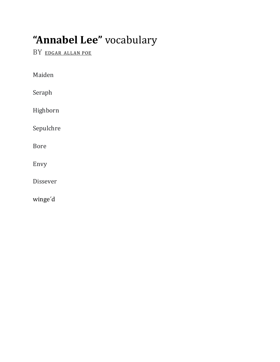## "Annabel Lee" vocabulary

BY EDGAR ALLAN POE

Maiden

Seraph

Highborn

Sepulchre

Bore

Envy

Dissever

winge'd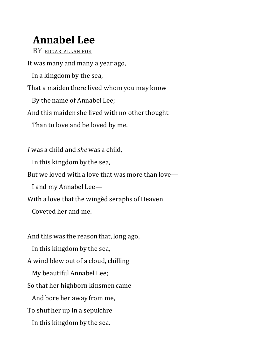## **Annabel Lee**

BY [EDGAR](https://www.poetryfoundation.org/poets/edgar-allan-poe) ALLAN POE It was many and many a year ago, In a kingdom by the sea, That a maiden there lived whom you may know By the name of Annabel Lee; And this maiden she lived with no other thought Than to love and be loved by me. *I* was a child and *she* was a child, In this kingdom by the sea, But we loved with a love that was more than love— I and my Annabel Lee—

With a love that the wingèd seraphs of Heaven

Coveted her and me.

And this was the reason that, long ago, In this kingdom by the sea, A wind blew out of a cloud, chilling My beautiful Annabel Lee; So that her highborn kinsmen came And bore her away from me, To shut her up in a sepulchre In this kingdom by the sea.